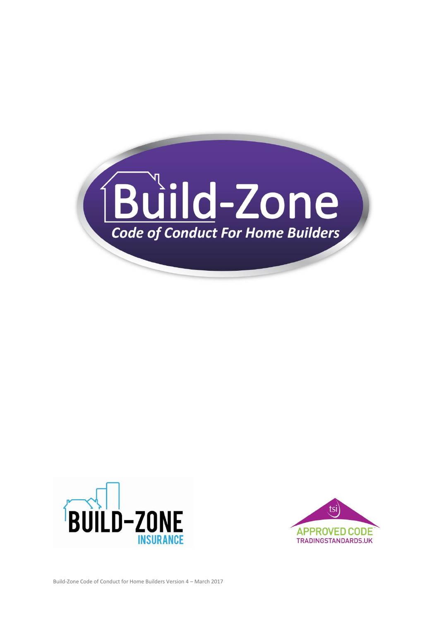



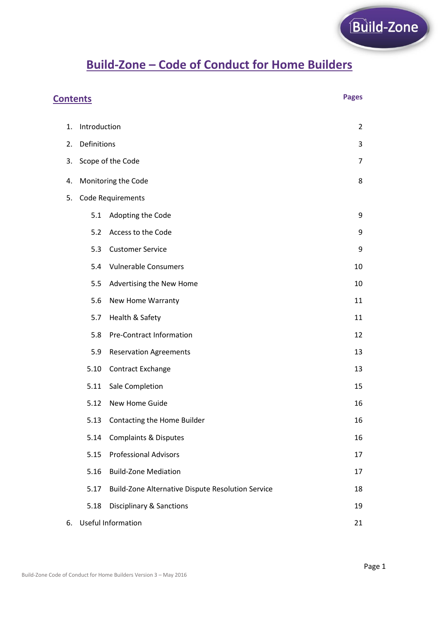# **Build-Zone – Code of Conduct for Home Builders**

| <b>Pages</b><br><b>Contents</b> |                          |                                                   |                |  |
|---------------------------------|--------------------------|---------------------------------------------------|----------------|--|
| 1.                              | Introduction             |                                                   | $\overline{2}$ |  |
| 2.                              | Definitions              |                                                   |                |  |
| 3.                              | Scope of the Code        |                                                   |                |  |
| 4.                              | Monitoring the Code<br>8 |                                                   |                |  |
| 5.                              |                          | <b>Code Requirements</b>                          |                |  |
|                                 | 5.1                      | Adopting the Code                                 | 9              |  |
|                                 | 5.2                      | Access to the Code                                | 9              |  |
|                                 | 5.3                      | <b>Customer Service</b>                           | 9              |  |
|                                 | 5.4                      | <b>Vulnerable Consumers</b>                       | 10             |  |
|                                 | 5.5                      | Advertising the New Home                          | 10             |  |
|                                 | 5.6                      | New Home Warranty                                 | 11             |  |
|                                 | 5.7                      | Health & Safety                                   | 11             |  |
|                                 | 5.8                      | Pre-Contract Information                          | 12             |  |
|                                 | 5.9                      | <b>Reservation Agreements</b>                     | 13             |  |
|                                 | 5.10                     | Contract Exchange                                 | 13             |  |
|                                 | 5.11                     | Sale Completion                                   | 15             |  |
|                                 | 5.12                     | New Home Guide                                    | 16             |  |
|                                 |                          | 5.13 Contacting the Home Builder                  | 16             |  |
|                                 | 5.14                     | <b>Complaints &amp; Disputes</b>                  | 16             |  |
|                                 | 5.15                     | <b>Professional Advisors</b>                      | 17             |  |
|                                 | 5.16                     | <b>Build-Zone Mediation</b>                       | 17             |  |
|                                 | 5.17                     | Build-Zone Alternative Dispute Resolution Service | 18             |  |
|                                 | 5.18                     | <b>Disciplinary &amp; Sanctions</b>               | 19             |  |
| 6.                              | Useful Information<br>21 |                                                   |                |  |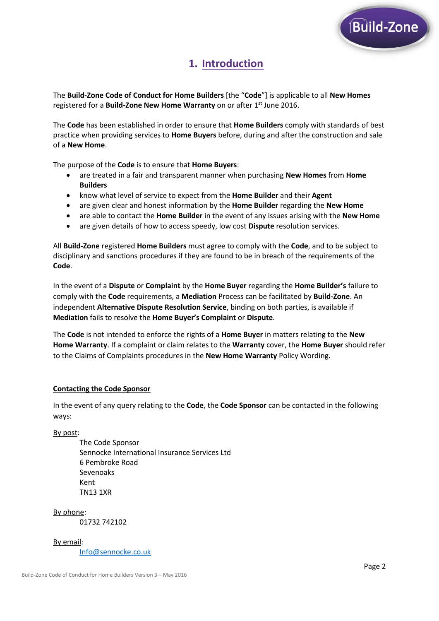

# **1. Introduction**

The **Build-Zone Code of Conduct for Home Builders** [the "**Code**"] is applicable to all **New Homes** registered for a **Build-Zone New Home Warranty** on or after 1<sup>st</sup> June 2016.

The **Code** has been established in order to ensure that **Home Builders** comply with standards of best practice when providing services to **Home Buyers** before, during and after the construction and sale of a **New Home**.

The purpose of the **Code** is to ensure that **Home Buyers**:

- are treated in a fair and transparent manner when purchasing **New Homes** from **Home Builders**
- know what level of service to expect from the **Home Builder** and their **Agent**
- are given clear and honest information by the **Home Builder** regarding the **New Home**
- are able to contact the **Home Builder** in the event of any issues arising with the **New Home**
- are given details of how to access speedy, low cost **Dispute** resolution services.

All **Build-Zone** registered **Home Builders** must agree to comply with the **Code**, and to be subject to disciplinary and sanctions procedures if they are found to be in breach of the requirements of the **Code**.

In the event of a **Dispute** or **Complaint** by the **Home Buyer** regarding the **Home Builder's** failure to comply with the **Code** requirements, a **Mediation** Process can be facilitated by **Build-Zone**. An independent **Alternative Dispute Resolution Service**, binding on both parties, is available if **Mediation** fails to resolve the **Home Buyer's Complaint** or **Dispute**.

The **Code** is not intended to enforce the rights of a **Home Buyer** in matters relating to the **New Home Warranty**. If a complaint or claim relates to the **Warranty** cover, the **Home Buyer** should refer to the Claims of Complaints procedures in the **New Home Warranty** Policy Wording.

#### **Contacting the Code Sponsor**

In the event of any query relating to the **Code**, the **Code Sponsor** can be contacted in the following ways:

By post:

The Code Sponsor Sennocke International Insurance Services Ltd 6 Pembroke Road Sevenoaks Kent TN13 1XR

By phone: 01732 742102

By email: [Info@sennocke.co.uk](mailto:Info@sennocke.co.uk)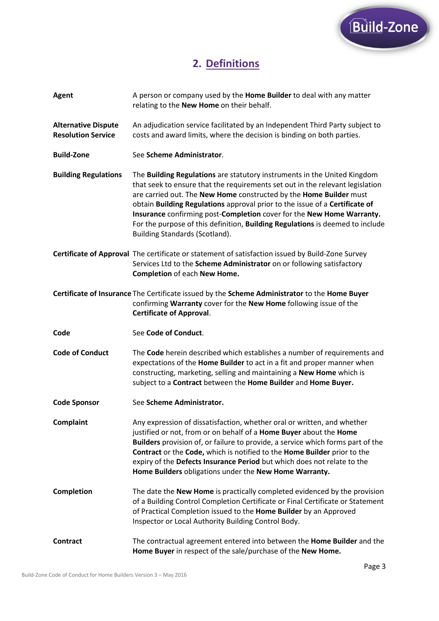

# **2. Definitions**

| <b>Agent</b>                                            | A person or company used by the Home Builder to deal with any matter<br>relating to the New Home on their behalf.                                                                                                                                                                                                                                                                                                                                                                                                 |
|---------------------------------------------------------|-------------------------------------------------------------------------------------------------------------------------------------------------------------------------------------------------------------------------------------------------------------------------------------------------------------------------------------------------------------------------------------------------------------------------------------------------------------------------------------------------------------------|
| <b>Alternative Dispute</b><br><b>Resolution Service</b> | An adjudication service facilitated by an Independent Third Party subject to<br>costs and award limits, where the decision is binding on both parties.                                                                                                                                                                                                                                                                                                                                                            |
| <b>Build-Zone</b>                                       | See Scheme Administrator.                                                                                                                                                                                                                                                                                                                                                                                                                                                                                         |
| <b>Building Regulations</b>                             | The <b>Building Regulations</b> are statutory instruments in the United Kingdom<br>that seek to ensure that the requirements set out in the relevant legislation<br>are carried out. The New Home constructed by the Home Builder must<br>obtain Building Regulations approval prior to the issue of a Certificate of<br>Insurance confirming post-Completion cover for the New Home Warranty.<br>For the purpose of this definition, Building Regulations is deemed to include<br>Building Standards (Scotland). |
|                                                         | Certificate of Approval The certificate or statement of satisfaction issued by Build-Zone Survey<br>Services Ltd to the Scheme Administrator on or following satisfactory<br><b>Completion of each New Home.</b>                                                                                                                                                                                                                                                                                                  |
|                                                         | Certificate of Insurance The Certificate issued by the Scheme Administrator to the Home Buyer<br>confirming Warranty cover for the New Home following issue of the<br><b>Certificate of Approval.</b>                                                                                                                                                                                                                                                                                                             |
|                                                         |                                                                                                                                                                                                                                                                                                                                                                                                                                                                                                                   |
| Code                                                    | See Code of Conduct.                                                                                                                                                                                                                                                                                                                                                                                                                                                                                              |
| <b>Code of Conduct</b>                                  | The Code herein described which establishes a number of requirements and<br>expectations of the Home Builder to act in a fit and proper manner when<br>constructing, marketing, selling and maintaining a New Home which is<br>subject to a Contract between the Home Builder and Home Buyer.                                                                                                                                                                                                                     |
| <b>Code Sponsor</b>                                     | See Scheme Administrator.                                                                                                                                                                                                                                                                                                                                                                                                                                                                                         |
| <b>Complaint</b>                                        | Any expression of dissatisfaction, whether oral or written, and whether<br>justified or not, from or on behalf of a <b>Home Buyer</b> about the <b>Home</b><br>Builders provision of, or failure to provide, a service which forms part of the<br>Contract or the Code, which is notified to the Home Builder prior to the<br>expiry of the Defects Insurance Period but which does not relate to the<br>Home Builders obligations under the New Home Warranty.                                                   |
| <b>Completion</b>                                       | The date the New Home is practically completed evidenced by the provision<br>of a Building Control Completion Certificate or Final Certificate or Statement<br>of Practical Completion issued to the Home Builder by an Approved<br>Inspector or Local Authority Building Control Body.                                                                                                                                                                                                                           |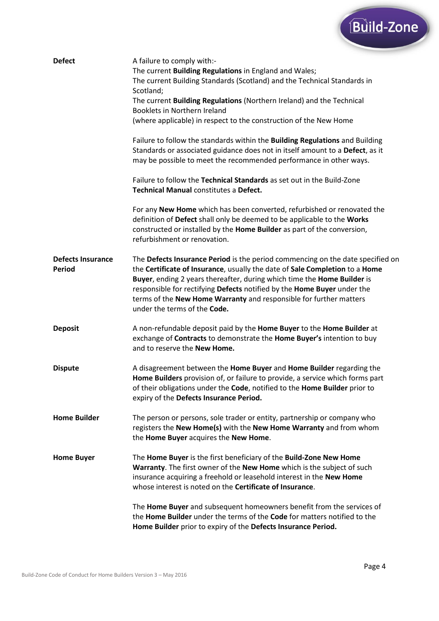

| <b>Defect</b>                             | A failure to comply with:-<br>The current Building Regulations in England and Wales;                                                                                                                                                                                                                                                                                                                                      |
|-------------------------------------------|---------------------------------------------------------------------------------------------------------------------------------------------------------------------------------------------------------------------------------------------------------------------------------------------------------------------------------------------------------------------------------------------------------------------------|
|                                           | The current Building Standards (Scotland) and the Technical Standards in<br>Scotland;                                                                                                                                                                                                                                                                                                                                     |
|                                           | The current Building Regulations (Northern Ireland) and the Technical<br>Booklets in Northern Ireland                                                                                                                                                                                                                                                                                                                     |
|                                           | (where applicable) in respect to the construction of the New Home                                                                                                                                                                                                                                                                                                                                                         |
|                                           | Failure to follow the standards within the Building Regulations and Building<br>Standards or associated guidance does not in itself amount to a Defect, as it<br>may be possible to meet the recommended performance in other ways.                                                                                                                                                                                       |
|                                           | Failure to follow the Technical Standards as set out in the Build-Zone<br><b>Technical Manual constitutes a Defect.</b>                                                                                                                                                                                                                                                                                                   |
|                                           | For any New Home which has been converted, refurbished or renovated the<br>definition of Defect shall only be deemed to be applicable to the Works<br>constructed or installed by the Home Builder as part of the conversion,<br>refurbishment or renovation.                                                                                                                                                             |
| <b>Defects Insurance</b><br><b>Period</b> | The Defects Insurance Period is the period commencing on the date specified on<br>the Certificate of Insurance, usually the date of Sale Completion to a Home<br>Buyer, ending 2 years thereafter, during which time the Home Builder is<br>responsible for rectifying Defects notified by the Home Buyer under the<br>terms of the New Home Warranty and responsible for further matters<br>under the terms of the Code. |
| <b>Deposit</b>                            | A non-refundable deposit paid by the Home Buyer to the Home Builder at<br>exchange of Contracts to demonstrate the Home Buyer's intention to buy<br>and to reserve the New Home.                                                                                                                                                                                                                                          |
| <b>Dispute</b>                            | A disagreement between the Home Buyer and Home Builder regarding the<br>Home Builders provision of, or failure to provide, a service which forms part<br>of their obligations under the Code, notified to the Home Builder prior to<br>expiry of the Defects Insurance Period.                                                                                                                                            |
| <b>Home Builder</b>                       | The person or persons, sole trader or entity, partnership or company who<br>registers the New Home(s) with the New Home Warranty and from whom<br>the Home Buyer acquires the New Home.                                                                                                                                                                                                                                   |
| <b>Home Buyer</b>                         | The Home Buyer is the first beneficiary of the Build-Zone New Home<br>Warranty. The first owner of the New Home which is the subject of such<br>insurance acquiring a freehold or leasehold interest in the New Home<br>whose interest is noted on the <b>Certificate of Insurance</b> .                                                                                                                                  |
|                                           | The Home Buyer and subsequent homeowners benefit from the services of<br>the <b>Home Builder</b> under the terms of the <b>Code</b> for matters notified to the<br>Home Builder prior to expiry of the Defects Insurance Period.                                                                                                                                                                                          |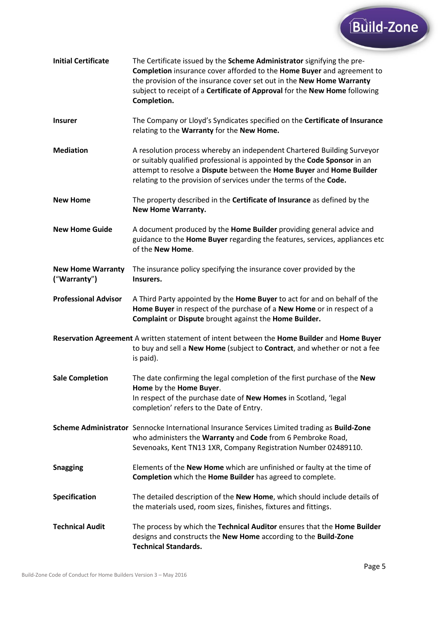

| <b>Initial Certificate</b>               | The Certificate issued by the Scheme Administrator signifying the pre-<br>Completion insurance cover afforded to the Home Buyer and agreement to<br>the provision of the insurance cover set out in the New Home Warranty<br>subject to receipt of a Certificate of Approval for the New Home following<br>Completion. |
|------------------------------------------|------------------------------------------------------------------------------------------------------------------------------------------------------------------------------------------------------------------------------------------------------------------------------------------------------------------------|
| <b>Insurer</b>                           | The Company or Lloyd's Syndicates specified on the Certificate of Insurance<br>relating to the Warranty for the New Home.                                                                                                                                                                                              |
| <b>Mediation</b>                         | A resolution process whereby an independent Chartered Building Surveyor<br>or suitably qualified professional is appointed by the Code Sponsor in an<br>attempt to resolve a Dispute between the Home Buyer and Home Builder<br>relating to the provision of services under the terms of the Code.                     |
| <b>New Home</b>                          | The property described in the <b>Certificate of Insurance</b> as defined by the<br><b>New Home Warranty.</b>                                                                                                                                                                                                           |
| <b>New Home Guide</b>                    | A document produced by the Home Builder providing general advice and<br>guidance to the Home Buyer regarding the features, services, appliances etc<br>of the New Home.                                                                                                                                                |
| <b>New Home Warranty</b><br>("Warranty") | The insurance policy specifying the insurance cover provided by the<br>Insurers.                                                                                                                                                                                                                                       |
| <b>Professional Advisor</b>              | A Third Party appointed by the Home Buyer to act for and on behalf of the<br>Home Buyer in respect of the purchase of a New Home or in respect of a<br>Complaint or Dispute brought against the Home Builder.                                                                                                          |
|                                          | Reservation Agreement A written statement of intent between the Home Builder and Home Buyer<br>to buy and sell a New Home (subject to Contract, and whether or not a fee<br>is paid).                                                                                                                                  |
| <b>Sale Completion</b>                   | The date confirming the legal completion of the first purchase of the New<br>Home by the Home Buyer.<br>In respect of the purchase date of New Homes in Scotland, 'legal<br>completion' refers to the Date of Entry.                                                                                                   |
|                                          | Scheme Administrator Sennocke International Insurance Services Limited trading as Build-Zone<br>who administers the Warranty and Code from 6 Pembroke Road,<br>Sevenoaks, Kent TN13 1XR, Company Registration Number 02489110.                                                                                         |
| <b>Snagging</b>                          | Elements of the New Home which are unfinished or faulty at the time of<br>Completion which the Home Builder has agreed to complete.                                                                                                                                                                                    |
| Specification                            | The detailed description of the New Home, which should include details of<br>the materials used, room sizes, finishes, fixtures and fittings.                                                                                                                                                                          |
| <b>Technical Audit</b>                   | The process by which the Technical Auditor ensures that the Home Builder<br>designs and constructs the New Home according to the Build-Zone<br><b>Technical Standards.</b>                                                                                                                                             |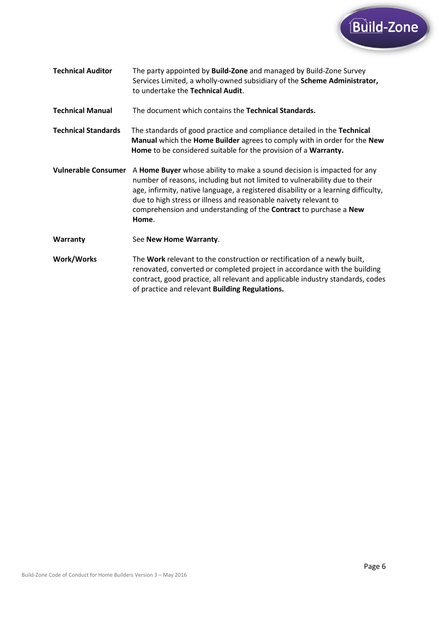

**Technical Auditor** The party appointed by **Build-Zone** and managed by Build-Zone Survey Services Limited, a wholly-owned subsidiary of the **Scheme Administrator,** to undertake the **Technical Audit**.

**Technical Manual** The document which contains the **Technical Standards.**

**Technical Standards** The standards of good practice and compliance detailed in the **Technical Manual** which the **Home Builder** agrees to comply with in order for the **New Home** to be considered suitable for the provision of a **Warranty.**

- **Vulnerable Consumer** A **Home Buyer** whose ability to make a sound decision is impacted for any number of reasons, including but not limited to vulnerability due to their age, infirmity, native language, a registered disability or a learning difficulty, due to high stress or illness and reasonable naivety relevant to comprehension and understanding of the **Contract** to purchase a **New Home**.
- **Warranty** See **New Home Warranty**.
- **Work/Works** The **Work** relevant to the construction or rectification of a newly built, renovated, converted or completed project in accordance with the building contract, good practice, all relevant and applicable industry standards, codes of practice and relevant **Building Regulations.**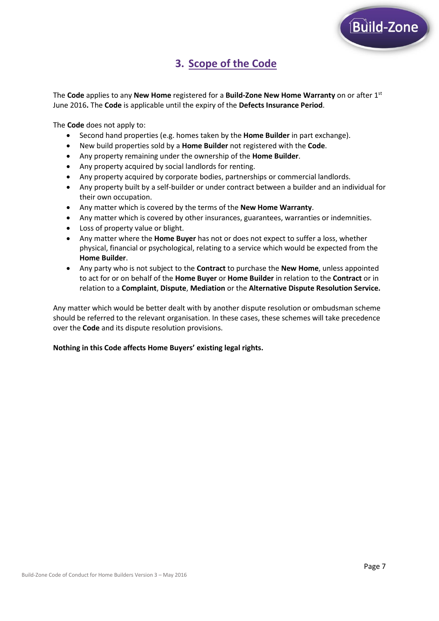# **3. Scope of the Code**

The **Code** applies to any **New Home** registered for a **Build-Zone New Home Warranty** on or after 1st June 2016**.** The **Code** is applicable until the expiry of the **Defects Insurance Period**.

The **Code** does not apply to:

- Second hand properties (e.g. homes taken by the **Home Builder** in part exchange).
- New build properties sold by a **Home Builder** not registered with the **Code**.
- Any property remaining under the ownership of the **Home Builder**.
- Any property acquired by social landlords for renting.
- Any property acquired by corporate bodies, partnerships or commercial landlords.
- Any property built by a self-builder or under contract between a builder and an individual for their own occupation.
- Any matter which is covered by the terms of the **New Home Warranty**.
- Any matter which is covered by other insurances, guarantees, warranties or indemnities.
- Loss of property value or blight.
- Any matter where the **Home Buyer** has not or does not expect to suffer a loss, whether physical, financial or psychological, relating to a service which would be expected from the **Home Builder**.
- Any party who is not subject to the **Contract** to purchase the **New Home**, unless appointed to act for or on behalf of the **Home Buyer** or **Home Builder** in relation to the **Contract** or in relation to a **Complaint**, **Dispute**, **Mediation** or the **Alternative Dispute Resolution Service.**

Any matter which would be better dealt with by another dispute resolution or ombudsman scheme should be referred to the relevant organisation. In these cases, these schemes will take precedence over the **Code** and its dispute resolution provisions.

#### **Nothing in this Code affects Home Buyers' existing legal rights.**

Build-Zone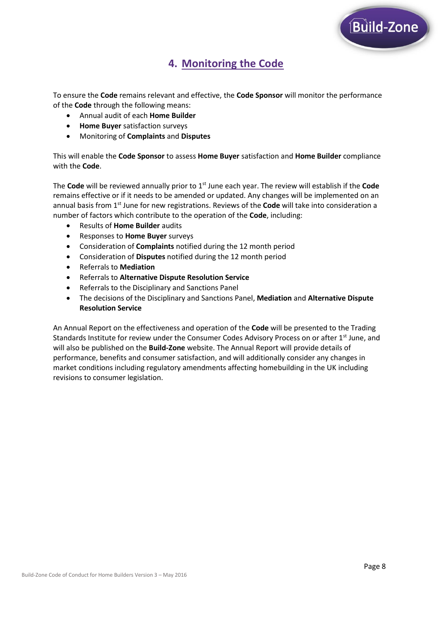

# **4. Monitoring the Code**

To ensure the **Code** remains relevant and effective, the **Code Sponsor** will monitor the performance of the **Code** through the following means:

- Annual audit of each **Home Builder**
- **Home Buyer** satisfaction surveys
- Monitoring of **Complaints** and **Disputes**

This will enable the **Code Sponsor** to assess **Home Buyer** satisfaction and **Home Builder** compliance with the **Code**.

The **Code** will be reviewed annually prior to 1st June each year. The review will establish if the **Code** remains effective or if it needs to be amended or updated. Any changes will be implemented on an annual basis from 1st June for new registrations. Reviews of the **Code** will take into consideration a number of factors which contribute to the operation of the **Code**, including:

- Results of **Home Builder** audits
- Responses to **Home Buyer** surveys
- Consideration of **Complaints** notified during the 12 month period
- Consideration of **Disputes** notified during the 12 month period
- Referrals to **Mediation**
- Referrals to **Alternative Dispute Resolution Service**
- Referrals to the Disciplinary and Sanctions Panel
- The decisions of the Disciplinary and Sanctions Panel, **Mediation** and **Alternative Dispute Resolution Service**

An Annual Report on the effectiveness and operation of the **Code** will be presented to the Trading Standards Institute for review under the Consumer Codes Advisory Process on or after 1<sup>st</sup> June, and will also be published on the **Build-Zone** website. The Annual Report will provide details of performance, benefits and consumer satisfaction, and will additionally consider any changes in market conditions including regulatory amendments affecting homebuilding in the UK including revisions to consumer legislation.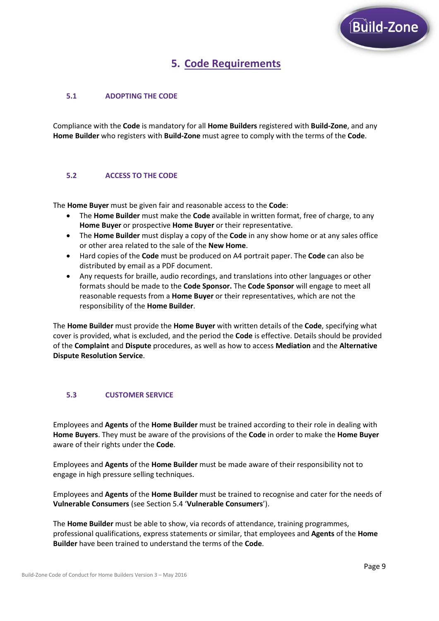

# **5. Code Requirements**

## **5.1 ADOPTING THE CODE**

Compliance with the **Code** is mandatory for all **Home Builders** registered with **Build-Zone**, and any **Home Builder** who registers with **Build-Zone** must agree to comply with the terms of the **Code**.

#### **5.2 ACCESS TO THE CODE**

The **Home Buyer** must be given fair and reasonable access to the **Code**:

- The **Home Builder** must make the **Code** available in written format, free of charge, to any **Home Buyer** or prospective **Home Buyer** or their representative.
- The **Home Builder** must display a copy of the **Code** in any show home or at any sales office or other area related to the sale of the **New Home**.
- Hard copies of the **Code** must be produced on A4 portrait paper. The **Code** can also be distributed by email as a PDF document.
- Any requests for braille, audio recordings, and translations into other languages or other formats should be made to the **Code Sponsor.** The **Code Sponsor** will engage to meet all reasonable requests from a **Home Buyer** or their representatives, which are not the responsibility of the **Home Builder**.

The **Home Builder** must provide the **Home Buyer** with written details of the **Code**, specifying what cover is provided, what is excluded, and the period the **Code** is effective. Details should be provided of the **Complaint** and **Dispute** procedures, as well as how to access **Mediation** and the **Alternative Dispute Resolution Service**.

### **5.3 CUSTOMER SERVICE**

Employees and **Agents** of the **Home Builder** must be trained according to their role in dealing with **Home Buyers**. They must be aware of the provisions of the **Code** in order to make the **Home Buyer** aware of their rights under the **Code**.

Employees and **Agents** of the **Home Builder** must be made aware of their responsibility not to engage in high pressure selling techniques.

Employees and **Agents** of the **Home Builder** must be trained to recognise and cater for the needs of **Vulnerable Consumers** (see Section 5.4 '**Vulnerable Consumers**').

The **Home Builder** must be able to show, via records of attendance, training programmes, professional qualifications, express statements or similar, that employees and **Agents** of the **Home Builder** have been trained to understand the terms of the **Code**.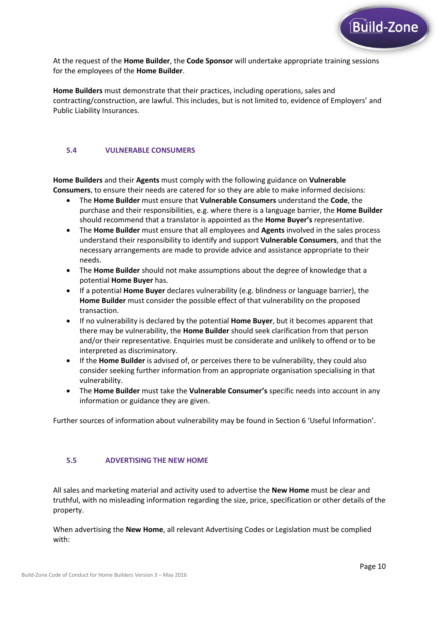

At the request of the **Home Builder**, the **Code Sponsor** will undertake appropriate training sessions for the employees of the **Home Builder**.

**Home Builders** must demonstrate that their practices, including operations, sales and contracting/construction, are lawful. This includes, but is not limited to, evidence of Employers' and Public Liability Insurances.

### **5.4 VULNERABLE CONSUMERS**

**Home Builders** and their **Agents** must comply with the following guidance on **Vulnerable Consumers**, to ensure their needs are catered for so they are able to make informed decisions:

- The **Home Builder** must ensure that **Vulnerable Consumers** understand the **Code**, the purchase and their responsibilities, e.g. where there is a language barrier, the **Home Builder** should recommend that a translator is appointed as the **Home Buyer's** representative.
- The **Home Builder** must ensure that all employees and **Agents** involved in the sales process understand their responsibility to identify and support **Vulnerable Consumers**, and that the necessary arrangements are made to provide advice and assistance appropriate to their needs.
- The **Home Builder** should not make assumptions about the degree of knowledge that a potential **Home Buyer** has.
- If a potential **Home Buyer** declares vulnerability (e.g. blindness or language barrier), the **Home Builder** must consider the possible effect of that vulnerability on the proposed transaction.
- If no vulnerability is declared by the potential **Home Buyer**, but it becomes apparent that there may be vulnerability, the **Home Builder** should seek clarification from that person and/or their representative. Enquiries must be considerate and unlikely to offend or to be interpreted as discriminatory.
- If the **Home Builder** is advised of, or perceives there to be vulnerability, they could also consider seeking further information from an appropriate organisation specialising in that vulnerability.
- The **Home Builder** must take the **Vulnerable Consumer's** specific needs into account in any information or guidance they are given.

Further sources of information about vulnerability may be found in Section 6 'Useful Information'.

#### **5.5 ADVERTISING THE NEW HOME**

All sales and marketing material and activity used to advertise the **New Home** must be clear and truthful, with no misleading information regarding the size, price, specification or other details of the property.

When advertising the **New Home**, all relevant Advertising Codes or Legislation must be complied with: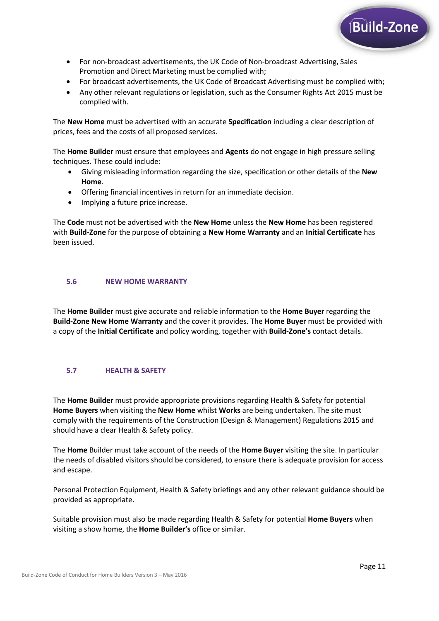

- For non-broadcast advertisements, the UK Code of Non-broadcast Advertising, Sales Promotion and Direct Marketing must be complied with;
- For broadcast advertisements, the UK Code of Broadcast Advertising must be complied with;
- Any other relevant regulations or legislation, such as the Consumer Rights Act 2015 must be complied with.

The **New Home** must be advertised with an accurate **Specification** including a clear description of prices, fees and the costs of all proposed services.

The **Home Builder** must ensure that employees and **Agents** do not engage in high pressure selling techniques. These could include:

- Giving misleading information regarding the size, specification or other details of the **New Home**.
- Offering financial incentives in return for an immediate decision.
- Implying a future price increase.

The **Code** must not be advertised with the **New Home** unless the **New Home** has been registered with **Build-Zone** for the purpose of obtaining a **New Home Warranty** and an **Initial Certificate** has been issued.

#### **5.6 NEW HOME WARRANTY**

The **Home Builder** must give accurate and reliable information to the **Home Buyer** regarding the **Build-Zone New Home Warranty** and the cover it provides. The **Home Buyer** must be provided with a copy of the **Initial Certificate** and policy wording, together with **Build-Zone's** contact details.

### **5.7 HEALTH & SAFETY**

The **Home Builder** must provide appropriate provisions regarding Health & Safety for potential **Home Buyers** when visiting the **New Home** whilst **Works** are being undertaken. The site must comply with the requirements of the Construction (Design & Management) Regulations 2015 and should have a clear Health & Safety policy.

The **Home** Builder must take account of the needs of the **Home Buyer** visiting the site. In particular the needs of disabled visitors should be considered, to ensure there is adequate provision for access and escape.

Personal Protection Equipment, Health & Safety briefings and any other relevant guidance should be provided as appropriate.

Suitable provision must also be made regarding Health & Safety for potential **Home Buyers** when visiting a show home, the **Home Builder's** office or similar.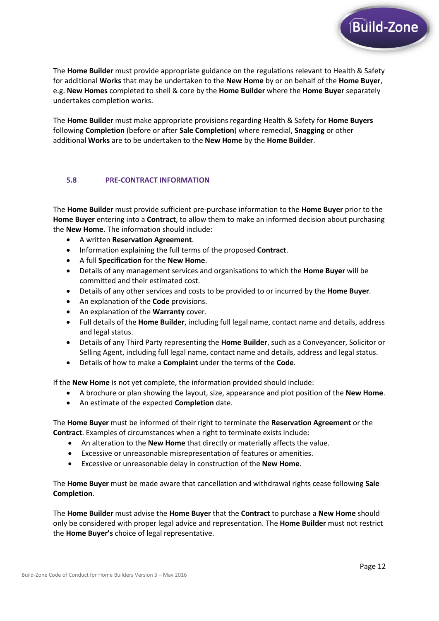

The **Home Builder** must make appropriate provisions regarding Health & Safety for **Home Buyers** following **Completion** (before or after **Sale Completion**) where remedial, **Snagging** or other additional **Works** are to be undertaken to the **New Home** by the **Home Builder**.

#### **5.8 PRE-CONTRACT INFORMATION**

The **Home Builder** must provide sufficient pre-purchase information to the **Home Buyer** prior to the **Home Buyer** entering into a **Contract**, to allow them to make an informed decision about purchasing the **New Home**. The information should include:

- A written **Reservation Agreement**.
- Information explaining the full terms of the proposed **Contract**.
- A full **Specification** for the **New Home**.
- Details of any management services and organisations to which the **Home Buyer** will be committed and their estimated cost.
- Details of any other services and costs to be provided to or incurred by the **Home Buyer**.
- An explanation of the **Code** provisions.
- An explanation of the **Warranty** cover.
- Full details of the **Home Builder**, including full legal name, contact name and details, address and legal status.
- Details of any Third Party representing the **Home Builder**, such as a Conveyancer, Solicitor or Selling Agent, including full legal name, contact name and details, address and legal status.
- Details of how to make a **Complaint** under the terms of the **Code**.

If the **New Home** is not yet complete, the information provided should include:

- A brochure or plan showing the layout, size, appearance and plot position of the **New Home**.
- An estimate of the expected **Completion** date.

The **Home Buyer** must be informed of their right to terminate the **Reservation Agreement** or the **Contract**. Examples of circumstances when a right to terminate exists include:

- An alteration to the **New Home** that directly or materially affects the value.
- Excessive or unreasonable misrepresentation of features or amenities.
- Excessive or unreasonable delay in construction of the **New Home**.

The **Home Buyer** must be made aware that cancellation and withdrawal rights cease following **Sale Completion**.

The **Home Builder** must advise the **Home Buyer** that the **Contract** to purchase a **New Home** should only be considered with proper legal advice and representation. The **Home Builder** must not restrict the **Home Buyer's** choice of legal representative.

Build-Zone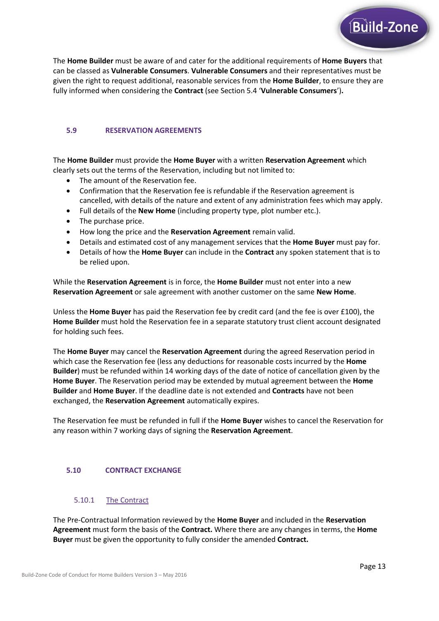

The **Home Builder** must be aware of and cater for the additional requirements of **Home Buyers** that can be classed as **Vulnerable Consumers**. **Vulnerable Consumers** and their representatives must be given the right to request additional, reasonable services from the **Home Builder**, to ensure they are fully informed when considering the **Contract** (see Section 5.4 '**Vulnerable Consumers**')**.**

#### **5.9 RESERVATION AGREEMENTS**

The **Home Builder** must provide the **Home Buyer** with a written **Reservation Agreement** which clearly sets out the terms of the Reservation, including but not limited to:

- The amount of the Reservation fee.
- Confirmation that the Reservation fee is refundable if the Reservation agreement is cancelled, with details of the nature and extent of any administration fees which may apply.
- Full details of the **New Home** (including property type, plot number etc.).
- The purchase price.
- How long the price and the **Reservation Agreement** remain valid.
- Details and estimated cost of any management services that the **Home Buyer** must pay for.
- Details of how the **Home Buyer** can include in the **Contract** any spoken statement that is to be relied upon.

While the **Reservation Agreement** is in force, the **Home Builder** must not enter into a new **Reservation Agreement** or sale agreement with another customer on the same **New Home**.

Unless the **Home Buyer** has paid the Reservation fee by credit card (and the fee is over £100), the **Home Builder** must hold the Reservation fee in a separate statutory trust client account designated for holding such fees.

The **Home Buyer** may cancel the **Reservation Agreement** during the agreed Reservation period in which case the Reservation fee (less any deductions for reasonable costs incurred by the **Home Builder**) must be refunded within 14 working days of the date of notice of cancellation given by the **Home Buyer**. The Reservation period may be extended by mutual agreement between the **Home Builder** and **Home Buyer**. If the deadline date is not extended and **Contracts** have not been exchanged, the **Reservation Agreement** automatically expires.

The Reservation fee must be refunded in full if the **Home Buyer** wishes to cancel the Reservation for any reason within 7 working days of signing the **Reservation Agreement**.

#### **5.10 CONTRACT EXCHANGE**

#### 5.10.1 The Contract

The Pre-Contractual Information reviewed by the **Home Buyer** and included in the **Reservation Agreement** must form the basis of the **Contract.** Where there are any changes in terms, the **Home Buyer** must be given the opportunity to fully consider the amended **Contract.**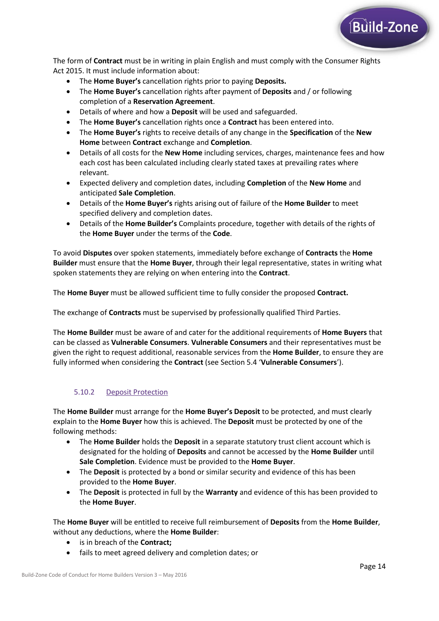

The form of **Contract** must be in writing in plain English and must comply with the Consumer Rights Act 2015. It must include information about:

- The **Home Buyer's** cancellation rights prior to paying **Deposits.**
- The **Home Buyer's** cancellation rights after payment of **Deposits** and / or following completion of a **Reservation Agreement**.
- Details of where and how a **Deposit** will be used and safeguarded.
- The **Home Buyer's** cancellation rights once a **Contract** has been entered into.
- The **Home Buyer's** rights to receive details of any change in the **Specification** of the **New Home** between **Contract** exchange and **Completion**.
- Details of all costs for the **New Home** including services, charges, maintenance fees and how each cost has been calculated including clearly stated taxes at prevailing rates where relevant.
- Expected delivery and completion dates, including **Completion** of the **New Home** and anticipated **Sale Completion**.
- Details of the **Home Buyer's** rights arising out of failure of the **Home Builder** to meet specified delivery and completion dates.
- Details of the **Home Builder's** Complaints procedure, together with details of the rights of the **Home Buyer** under the terms of the **Code**.

To avoid **Disputes** over spoken statements, immediately before exchange of **Contracts** the **Home Builder** must ensure that the **Home Buyer**, through their legal representative, states in writing what spoken statements they are relying on when entering into the **Contract**.

The **Home Buyer** must be allowed sufficient time to fully consider the proposed **Contract.**

The exchange of **Contracts** must be supervised by professionally qualified Third Parties.

The **Home Builder** must be aware of and cater for the additional requirements of **Home Buyers** that can be classed as **Vulnerable Consumers**. **Vulnerable Consumers** and their representatives must be given the right to request additional, reasonable services from the **Home Builder**, to ensure they are fully informed when considering the **Contract** (see Section 5.4 '**Vulnerable Consumers**').

#### 5.10.2 Deposit Protection

The **Home Builder** must arrange for the **Home Buyer's Deposit** to be protected, and must clearly explain to the **Home Buyer** how this is achieved. The **Deposit** must be protected by one of the following methods:

- The **Home Builder** holds the **Deposit** in a separate statutory trust client account which is designated for the holding of **Deposits** and cannot be accessed by the **Home Builder** until **Sale Completion**. Evidence must be provided to the **Home Buyer**.
- The **Deposit** is protected by a bond or similar security and evidence of this has been provided to the **Home Buyer**.
- The **Deposit** is protected in full by the **Warranty** and evidence of this has been provided to the **Home Buyer**.

The **Home Buyer** will be entitled to receive full reimbursement of **Deposits** from the **Home Builder**, without any deductions, where the **Home Builder**:

- is in breach of the **Contract;**
- fails to meet agreed delivery and completion dates; or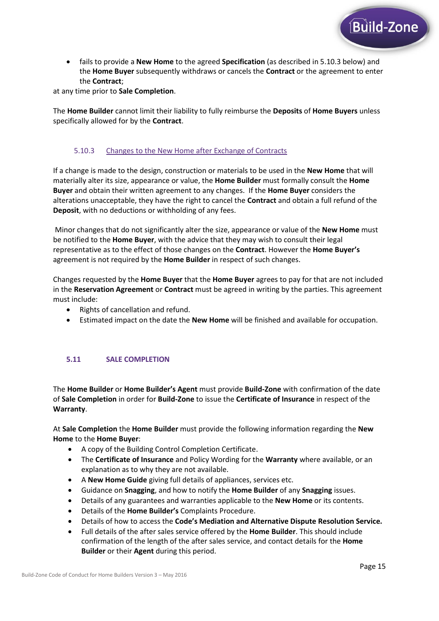

 fails to provide a **New Home** to the agreed **Specification** (as described in 5.10.3 below) and the **Home Buyer** subsequently withdraws or cancels the **Contract** or the agreement to enter the **Contract**;

at any time prior to **Sale Completion**.

The **Home Builder** cannot limit their liability to fully reimburse the **Deposits** of **Home Buyers** unless specifically allowed for by the **Contract**.

### 5.10.3 Changes to the New Home after Exchange of Contracts

If a change is made to the design, construction or materials to be used in the **New Home** that will materially alter its size, appearance or value, the **Home Builder** must formally consult the **Home Buyer** and obtain their written agreement to any changes. If the **Home Buyer** considers the alterations unacceptable, they have the right to cancel the **Contract** and obtain a full refund of the **Deposit**, with no deductions or withholding of any fees.

Minor changes that do not significantly alter the size, appearance or value of the **New Home** must be notified to the **Home Buyer**, with the advice that they may wish to consult their legal representative as to the effect of those changes on the **Contract**. However the **Home Buyer's** agreement is not required by the **Home Builder** in respect of such changes.

Changes requested by the **Home Buyer** that the **Home Buyer** agrees to pay for that are not included in the **Reservation Agreement** or **Contract** must be agreed in writing by the parties. This agreement must include:

- Rights of cancellation and refund.
- Estimated impact on the date the **New Home** will be finished and available for occupation.

#### **5.11 SALE COMPLETION**

The **Home Builder** or **Home Builder's Agent** must provide **Build-Zone** with confirmation of the date of **Sale Completion** in order for **Build-Zone** to issue the **Certificate of Insurance** in respect of the **Warranty**.

At **Sale Completion** the **Home Builder** must provide the following information regarding the **New Home** to the **Home Buyer**:

- A copy of the Building Control Completion Certificate.
- The **Certificate of Insurance** and Policy Wording for the **Warranty** where available, or an explanation as to why they are not available.
- A **New Home Guide** giving full details of appliances, services etc.
- Guidance on **Snagging**, and how to notify the **Home Builder** of any **Snagging** issues.
- Details of any guarantees and warranties applicable to the **New Home** or its contents.
- Details of the **Home Builder's** Complaints Procedure.
- Details of how to access the **Code's Mediation and Alternative Dispute Resolution Service.**
- Full details of the after sales service offered by the **Home Builder**. This should include confirmation of the length of the after sales service, and contact details for the **Home Builder** or their **Agent** during this period.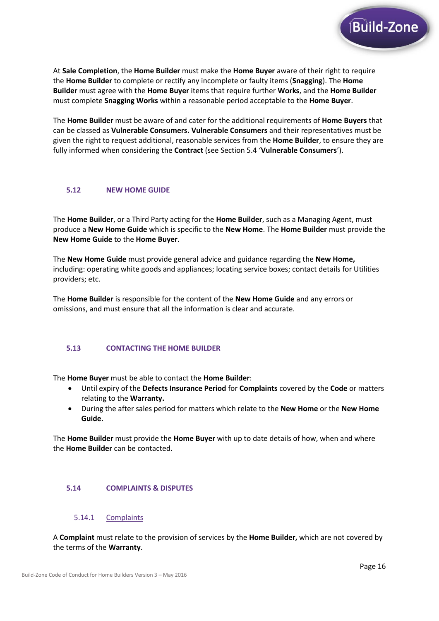

At **Sale Completion**, the **Home Builder** must make the **Home Buyer** aware of their right to require the **Home Builder** to complete or rectify any incomplete or faulty items (**Snagging**). The **Home Builder** must agree with the **Home Buyer** items that require further **Works**, and the **Home Builder**  must complete **Snagging Works** within a reasonable period acceptable to the **Home Buyer**.

The **Home Builder** must be aware of and cater for the additional requirements of **Home Buyers** that can be classed as **Vulnerable Consumers. Vulnerable Consumers** and their representatives must be given the right to request additional, reasonable services from the **Home Builder**, to ensure they are fully informed when considering the **Contract** (see Section 5.4 '**Vulnerable Consumers**').

#### **5.12 NEW HOME GUIDE**

The **Home Builder**, or a Third Party acting for the **Home Builder**, such as a Managing Agent, must produce a **New Home Guide** which is specific to the **New Home**. The **Home Builder** must provide the **New Home Guide** to the **Home Buyer**.

The **New Home Guide** must provide general advice and guidance regarding the **New Home,**  including: operating white goods and appliances; locating service boxes; contact details for Utilities providers; etc.

The **Home Builder** is responsible for the content of the **New Home Guide** and any errors or omissions, and must ensure that all the information is clear and accurate.

#### **5.13 CONTACTING THE HOME BUILDER**

The **Home Buyer** must be able to contact the **Home Builder**:

- Until expiry of the **Defects Insurance Period** for **Complaints** covered by the **Code** or matters relating to the **Warranty.**
- During the after sales period for matters which relate to the **New Home** or the **New Home Guide.**

The **Home Builder** must provide the **Home Buyer** with up to date details of how, when and where the **Home Builder** can be contacted.

#### **5.14 COMPLAINTS & DISPUTES**

#### 5.14.1 Complaints

A **Complaint** must relate to the provision of services by the **Home Builder,** which are not covered by the terms of the **Warranty**.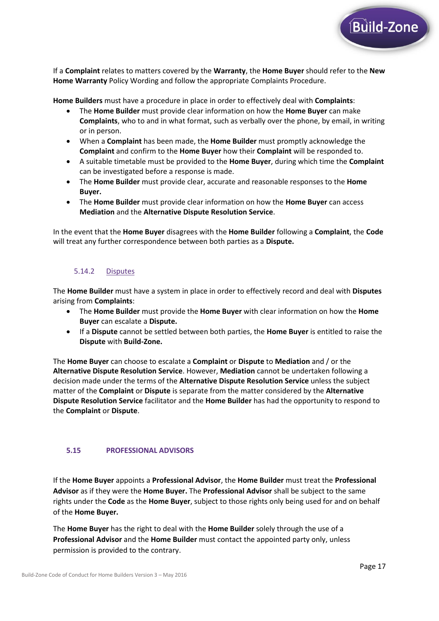

If a **Complaint** relates to matters covered by the **Warranty**, the **Home Buyer** should refer to the **New Home Warranty** Policy Wording and follow the appropriate Complaints Procedure.

**Home Builders** must have a procedure in place in order to effectively deal with **Complaints**:

- The **Home Builder** must provide clear information on how the **Home Buyer** can make **Complaints**, who to and in what format, such as verbally over the phone, by email, in writing or in person.
- When a **Complaint** has been made, the **Home Builder** must promptly acknowledge the **Complaint** and confirm to the **Home Buyer** how their **Complaint** will be responded to.
- A suitable timetable must be provided to the **Home Buyer**, during which time the **Complaint**  can be investigated before a response is made.
- The **Home Builder** must provide clear, accurate and reasonable responses to the **Home Buyer.**
- The **Home Builder** must provide clear information on how the **Home Buyer** can access **Mediation** and the **Alternative Dispute Resolution Service**.

In the event that the **Home Buyer** disagrees with the **Home Builder** following a **Complaint**, the **Code**  will treat any further correspondence between both parties as a **Dispute.** 

### 5.14.2 Disputes

The **Home Builder** must have a system in place in order to effectively record and deal with **Disputes** arising from **Complaints**:

- The **Home Builder** must provide the **Home Buyer** with clear information on how the **Home Buyer** can escalate a **Dispute.**
- If a **Dispute** cannot be settled between both parties, the **Home Buyer** is entitled to raise the **Dispute** with **Build-Zone.**

The **Home Buyer** can choose to escalate a **Complaint** or **Dispute** to **Mediation** and / or the **Alternative Dispute Resolution Service**. However, **Mediation** cannot be undertaken following a decision made under the terms of the **Alternative Dispute Resolution Service** unless the subject matter of the **Complaint** or **Dispute** is separate from the matter considered by the **Alternative Dispute Resolution Service** facilitator and the **Home Builder** has had the opportunity to respond to the **Complaint** or **Dispute**.

#### **5.15 PROFESSIONAL ADVISORS**

If the **Home Buyer** appoints a **Professional Advisor**, the **Home Builder** must treat the **Professional Advisor** as if they were the **Home Buyer.** The **Professional Advisor** shall be subject to the same rights under the **Code** as the **Home Buyer**, subject to those rights only being used for and on behalf of the **Home Buyer.**

The **Home Buyer** has the right to deal with the **Home Builder** solely through the use of a **Professional Advisor** and the **Home Builder** must contact the appointed party only, unless permission is provided to the contrary.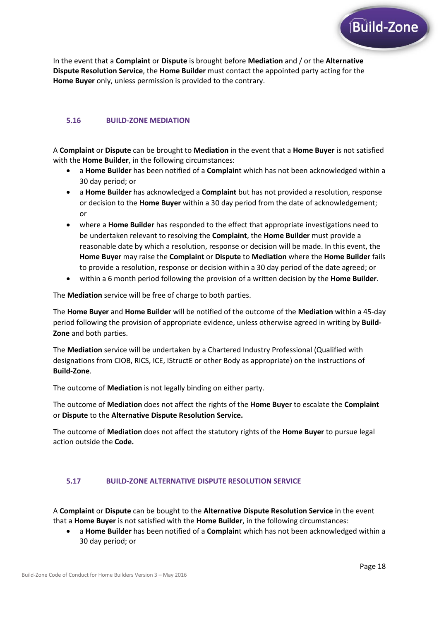

In the event that a **Complaint** or **Dispute** is brought before **Mediation** and / or the **Alternative Dispute Resolution Service**, the **Home Builder** must contact the appointed party acting for the **Home Buyer** only, unless permission is provided to the contrary.

### **5.16 BUILD-ZONE MEDIATION**

A **Complaint** or **Dispute** can be brought to **Mediation** in the event that a **Home Buyer** is not satisfied with the **Home Builder**, in the following circumstances:

- a **Home Builder** has been notified of a **Complain**t which has not been acknowledged within a 30 day period; or
- a **Home Builder** has acknowledged a **Complaint** but has not provided a resolution, response or decision to the **Home Buyer** within a 30 day period from the date of acknowledgement; or
- where a **Home Builder** has responded to the effect that appropriate investigations need to be undertaken relevant to resolving the **Complaint**, the **Home Builder** must provide a reasonable date by which a resolution, response or decision will be made. In this event, the **Home Buyer** may raise the **Complaint** or **Dispute** to **Mediation** where the **Home Builder** fails to provide a resolution, response or decision within a 30 day period of the date agreed; or
- within a 6 month period following the provision of a written decision by the **Home Builder**.

The **Mediation** service will be free of charge to both parties.

The **Home Buyer** and **Home Builder** will be notified of the outcome of the **Mediation** within a 45-day period following the provision of appropriate evidence, unless otherwise agreed in writing by **Build-Zone** and both parties.

The **Mediation** service will be undertaken by a Chartered Industry Professional (Qualified with designations from CIOB, RICS, ICE, IStructE or other Body as appropriate) on the instructions of **Build-Zone**.

The outcome of **Mediation** is not legally binding on either party.

The outcome of **Mediation** does not affect the rights of the **Home Buyer** to escalate the **Complaint** or **Dispute** to the **Alternative Dispute Resolution Service.**

The outcome of **Mediation** does not affect the statutory rights of the **Home Buyer** to pursue legal action outside the **Code.** 

#### **5.17 BUILD-ZONE ALTERNATIVE DISPUTE RESOLUTION SERVICE**

A **Complaint** or **Dispute** can be bought to the **Alternative Dispute Resolution Service** in the event that a **Home Buyer** is not satisfied with the **Home Builder**, in the following circumstances:

 a **Home Builder** has been notified of a **Complain**t which has not been acknowledged within a 30 day period; or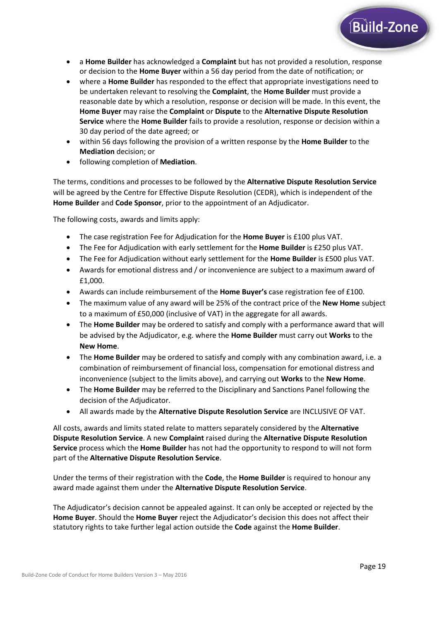- a **Home Builder** has acknowledged a **Complaint** but has not provided a resolution, response or decision to the **Home Buyer** within a 56 day period from the date of notification; or
- where a **Home Builder** has responded to the effect that appropriate investigations need to be undertaken relevant to resolving the **Complaint**, the **Home Builder** must provide a reasonable date by which a resolution, response or decision will be made. In this event, the **Home Buyer** may raise the **Complaint** or **Dispute** to the **Alternative Dispute Resolution Service** where the **Home Builder** fails to provide a resolution, response or decision within a 30 day period of the date agreed; or
- within 56 days following the provision of a written response by the **Home Builder** to the **Mediation** decision; or
- following completion of **Mediation**.

The terms, conditions and processes to be followed by the **Alternative Dispute Resolution Service**  will be agreed by the Centre for Effective Dispute Resolution (CEDR), which is independent of the **Home Builder** and **Code Sponsor**, prior to the appointment of an Adjudicator.

The following costs, awards and limits apply:

- The case registration Fee for Adjudication for the **Home Buyer** is £100 plus VAT.
- The Fee for Adjudication with early settlement for the **Home Builder** is £250 plus VAT.
- The Fee for Adjudication without early settlement for the **Home Builder** is £500 plus VAT.
- Awards for emotional distress and / or inconvenience are subject to a maximum award of £1,000.
- Awards can include reimbursement of the **Home Buyer's** case registration fee of £100.
- The maximum value of any award will be 25% of the contract price of the **New Home** subject to a maximum of £50,000 (inclusive of VAT) in the aggregate for all awards.
- The **Home Builder** may be ordered to satisfy and comply with a performance award that will be advised by the Adjudicator, e.g. where the **Home Builder** must carry out **Works** to the **New Home**.
- The **Home Builder** may be ordered to satisfy and comply with any combination award, i.e. a combination of reimbursement of financial loss, compensation for emotional distress and inconvenience (subject to the limits above), and carrying out **Works** to the **New Home**.
- The **Home Builder** may be referred to the Disciplinary and Sanctions Panel following the decision of the Adjudicator.
- All awards made by the **Alternative Dispute Resolution Service** are INCLUSIVE OF VAT.

All costs, awards and limits stated relate to matters separately considered by the **Alternative Dispute Resolution Service**. A new **Complaint** raised during the **Alternative Dispute Resolution Service** process which the **Home Builder** has not had the opportunity to respond to will not form part of the **Alternative Dispute Resolution Service**.

Under the terms of their registration with the **Code**, the **Home Builder** is required to honour any award made against them under the **Alternative Dispute Resolution Service**.

The Adjudicator's decision cannot be appealed against. It can only be accepted or rejected by the **Home Buyer**. Should the **Home Buyer** reject the Adjudicator's decision this does not affect their statutory rights to take further legal action outside the **Code** against the **Home Builder**.

**Build-Zone**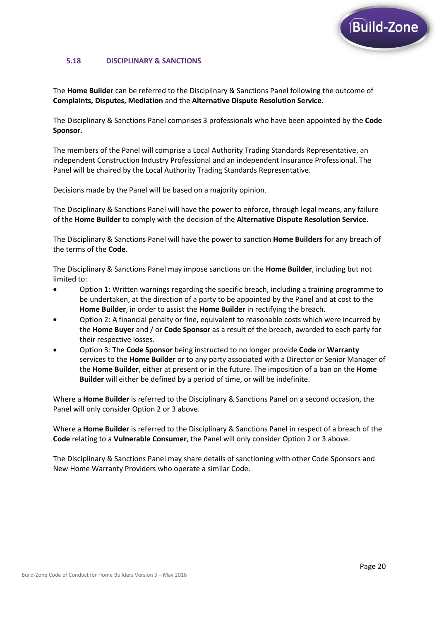

#### **5.18 DISCIPLINARY & SANCTIONS**

The **Home Builder** can be referred to the Disciplinary & Sanctions Panel following the outcome of **Complaints, Disputes, Mediation** and the **Alternative Dispute Resolution Service.** 

The Disciplinary & Sanctions Panel comprises 3 professionals who have been appointed by the **Code Sponsor.** 

The members of the Panel will comprise a Local Authority Trading Standards Representative, an independent Construction Industry Professional and an independent Insurance Professional. The Panel will be chaired by the Local Authority Trading Standards Representative.

Decisions made by the Panel will be based on a majority opinion.

The Disciplinary & Sanctions Panel will have the power to enforce, through legal means, any failure of the **Home Builder** to comply with the decision of the **Alternative Dispute Resolution Service**.

The Disciplinary & Sanctions Panel will have the power to sanction **Home Builders** for any breach of the terms of the **Code**.

The Disciplinary & Sanctions Panel may impose sanctions on the **Home Builder**, including but not limited to:

- Option 1: Written warnings regarding the specific breach, including a training programme to be undertaken, at the direction of a party to be appointed by the Panel and at cost to the **Home Builder**, in order to assist the **Home Builder** in rectifying the breach.
- Option 2: A financial penalty or fine, equivalent to reasonable costs which were incurred by the **Home Buyer** and / or **Code Sponsor** as a result of the breach, awarded to each party for their respective losses.
- Option 3: The **Code Sponsor** being instructed to no longer provide **Code** or **Warranty**  services to the **Home Builder** or to any party associated with a Director or Senior Manager of the **Home Builder**, either at present or in the future. The imposition of a ban on the **Home Builder** will either be defined by a period of time, or will be indefinite.

Where a **Home Builder** is referred to the Disciplinary & Sanctions Panel on a second occasion, the Panel will only consider Option 2 or 3 above.

Where a **Home Builder** is referred to the Disciplinary & Sanctions Panel in respect of a breach of the **Code** relating to a **Vulnerable Consumer**, the Panel will only consider Option 2 or 3 above.

The Disciplinary & Sanctions Panel may share details of sanctioning with other Code Sponsors and New Home Warranty Providers who operate a similar Code.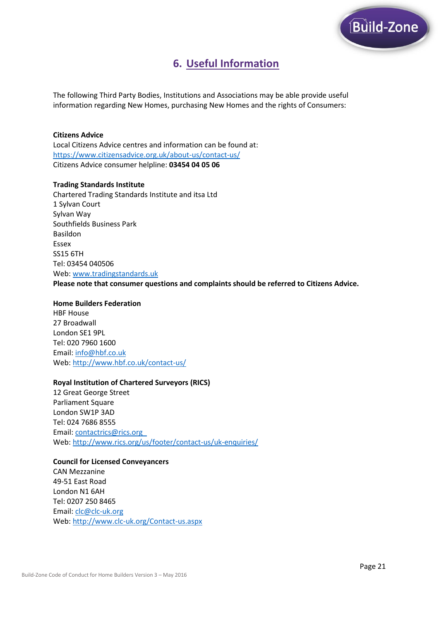

# **6. Useful Information**

The following Third Party Bodies, Institutions and Associations may be able provide useful information regarding New Homes, purchasing New Homes and the rights of Consumers:

#### **Citizens Advice**

Local Citizens Advice centres and information can be found at: <https://www.citizensadvice.org.uk/about-us/contact-us/> Citizens Advice consumer helpline: **03454 04 05 06**

#### **Trading Standards Institute**

Chartered Trading Standards Institute and itsa Ltd 1 Sylvan Court Sylvan Way Southfields Business Park Basildon Essex SS15 6TH Tel: 03454 040506 Web[: www.tradingstandards.uk](http://www.tradingstandards.uk/) **Please note that consumer questions and complaints should be referred to Citizens Advice.**

#### **Home Builders Federation**

HBF House 27 Broadwall London SE1 9PL Tel: 020 7960 1600 Email: [info@hbf.co.uk](mailto:info@hbf.co.uk) Web[: http://www.hbf.co.uk/contact-us/](http://www.hbf.co.uk/contact-us/)

#### **Royal Institution of Chartered Surveyors (RICS)**

12 Great George Street Parliament Square London SW1P 3AD Tel: 024 7686 8555 Email: [contactrics@rics.org](mailto:contactrics@rics.org) Web[: http://www.rics.org/us/footer/contact-us/uk-enquiries/](http://www.rics.org/us/footer/contact-us/uk-enquiries/)

# **Council for Licensed Conveyancers**

CAN Mezzanine 49-51 East Road London N1 6AH Tel: 0207 250 8465 Email: [clc@clc-uk.org](mailto:clc@clc-uk.org) Web[: http://www.clc-uk.org/Contact-us.aspx](http://www.clc-uk.org/Contact-us.aspx)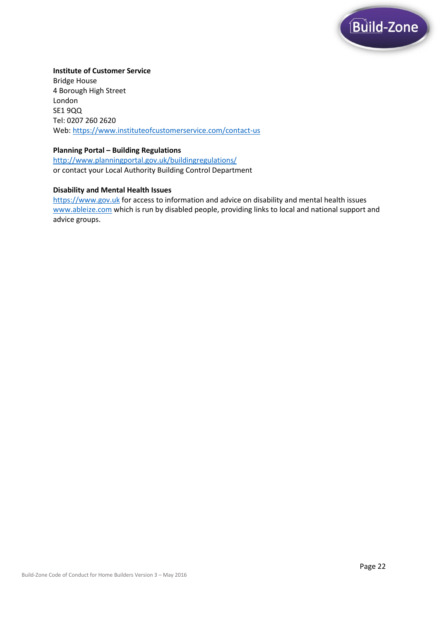

#### **Institute of Customer Service**

Bridge House 4 Borough High Street London SE1 9QQ Tel: 0207 260 2620 Web[: https://www.instituteofcustomerservice.com/contact-us](https://www.instituteofcustomerservice.com/contact-us)

#### **Planning Portal – Building Regulations**

<http://www.planningportal.gov.uk/buildingregulations/> or contact your Local Authority Building Control Department

#### **Disability and Mental Health Issues**

[https://www.gov.uk](https://www.gov.uk/) for access to information and advice on disability and mental health issues [www.ableize.com](http://www.ableize.com/) which is run by disabled people, providing links to local and national support and advice groups.